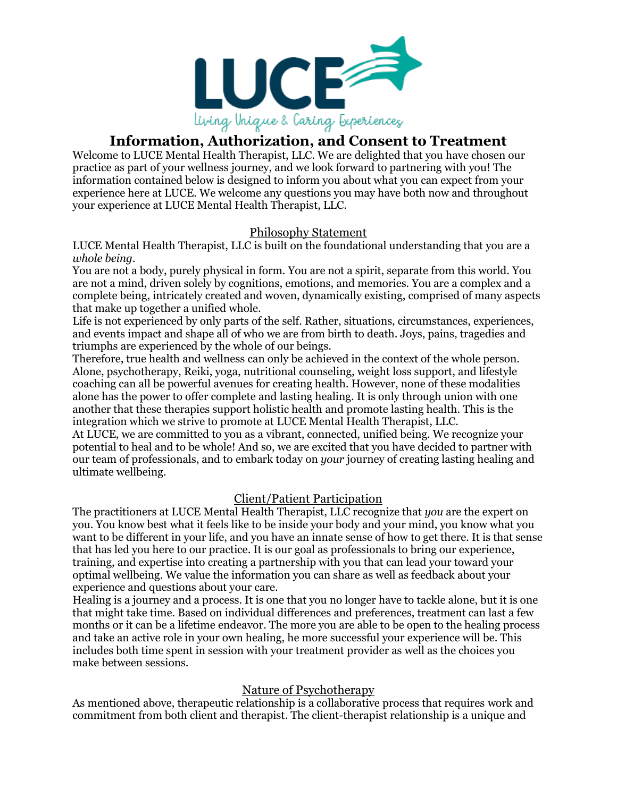

# **Information, Authorization, and Consent to Treatment**

Welcome to LUCE Mental Health Therapist, LLC. We are delighted that you have chosen our practice as part of your wellness journey, and we look forward to partnering with you! The information contained below is designed to inform you about what you can expect from your experience here at LUCE. We welcome any questions you may have both now and throughout your experience at LUCE Mental Health Therapist, LLC.

# Philosophy Statement

LUCE Mental Health Therapist, LLC is built on the foundational understanding that you are a *whole being.*

You are not a body, purely physical in form. You are not a spirit, separate from this world. You are not a mind, driven solely by cognitions, emotions, and memories. You are a complex and a complete being, intricately created and woven, dynamically existing, comprised of many aspects that make up together a unified whole.

Life is not experienced by only parts of the self. Rather, situations, circumstances, experiences, and events impact and shape all of who we are from birth to death. Joys, pains, tragedies and triumphs are experienced by the whole of our beings.

Therefore, true health and wellness can only be achieved in the context of the whole person. Alone, psychotherapy, Reiki, yoga, nutritional counseling, weight loss support, and lifestyle coaching can all be powerful avenues for creating health. However, none of these modalities alone has the power to offer complete and lasting healing. It is only through union with one another that these therapies support holistic health and promote lasting health. This is the integration which we strive to promote at LUCE Mental Health Therapist, LLC.

At LUCE, we are committed to you as a vibrant, connected, unified being. We recognize your potential to heal and to be whole! And so, we are excited that you have decided to partner with our team of professionals, and to embark today on *your* journey of creating lasting healing and ultimate wellbeing.

## Client/Patient Participation

The practitioners at LUCE Mental Health Therapist, LLC recognize that *you* are the expert on you. You know best what it feels like to be inside your body and your mind, you know what you want to be different in your life, and you have an innate sense of how to get there. It is that sense that has led you here to our practice. It is our goal as professionals to bring our experience, training, and expertise into creating a partnership with you that can lead your toward your optimal wellbeing. We value the information you can share as well as feedback about your experience and questions about your care.

Healing is a journey and a process. It is one that you no longer have to tackle alone, but it is one that might take time. Based on individual differences and preferences, treatment can last a few months or it can be a lifetime endeavor. The more you are able to be open to the healing process and take an active role in your own healing, he more successful your experience will be. This includes both time spent in session with your treatment provider as well as the choices you make between sessions.

## Nature of Psychotherapy

As mentioned above, therapeutic relationship is a collaborative process that requires work and commitment from both client and therapist. The client-therapist relationship is a unique and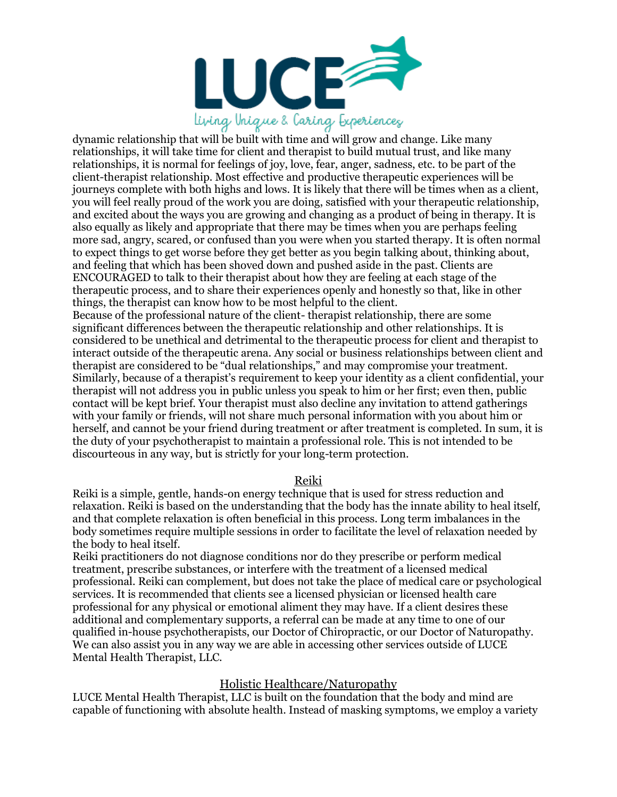

dynamic relationship that will be built with time and will grow and change. Like many relationships, it will take time for client and therapist to build mutual trust, and like many relationships, it is normal for feelings of joy, love, fear, anger, sadness, etc. to be part of the client-therapist relationship. Most effective and productive therapeutic experiences will be journeys complete with both highs and lows. It is likely that there will be times when as a client, you will feel really proud of the work you are doing, satisfied with your therapeutic relationship, and excited about the ways you are growing and changing as a product of being in therapy. It is also equally as likely and appropriate that there may be times when you are perhaps feeling more sad, angry, scared, or confused than you were when you started therapy. It is often normal to expect things to get worse before they get better as you begin talking about, thinking about, and feeling that which has been shoved down and pushed aside in the past. Clients are ENCOURAGED to talk to their therapist about how they are feeling at each stage of the therapeutic process, and to share their experiences openly and honestly so that, like in other things, the therapist can know how to be most helpful to the client.

Because of the professional nature of the client- therapist relationship, there are some significant differences between the therapeutic relationship and other relationships. It is considered to be unethical and detrimental to the therapeutic process for client and therapist to interact outside of the therapeutic arena. Any social or business relationships between client and therapist are considered to be "dual relationships," and may compromise your treatment. Similarly, because of a therapist's requirement to keep your identity as a client confidential, your therapist will not address you in public unless you speak to him or her first; even then, public contact will be kept brief. Your therapist must also decline any invitation to attend gatherings with your family or friends, will not share much personal information with you about him or herself, and cannot be your friend during treatment or after treatment is completed. In sum, it is the duty of your psychotherapist to maintain a professional role. This is not intended to be discourteous in any way, but is strictly for your long-term protection.

#### Reiki

Reiki is a simple, gentle, hands-on energy technique that is used for stress reduction and relaxation. Reiki is based on the understanding that the body has the innate ability to heal itself, and that complete relaxation is often beneficial in this process. Long term imbalances in the body sometimes require multiple sessions in order to facilitate the level of relaxation needed by the body to heal itself.

Reiki practitioners do not diagnose conditions nor do they prescribe or perform medical treatment, prescribe substances, or interfere with the treatment of a licensed medical professional. Reiki can complement, but does not take the place of medical care or psychological services. It is recommended that clients see a licensed physician or licensed health care professional for any physical or emotional aliment they may have. If a client desires these additional and complementary supports, a referral can be made at any time to one of our qualified in-house psychotherapists, our Doctor of Chiropractic, or our Doctor of Naturopathy. We can also assist you in any way we are able in accessing other services outside of LUCE Mental Health Therapist, LLC.

### Holistic Healthcare/Naturopathy

LUCE Mental Health Therapist, LLC is built on the foundation that the body and mind are capable of functioning with absolute health. Instead of masking symptoms, we employ a variety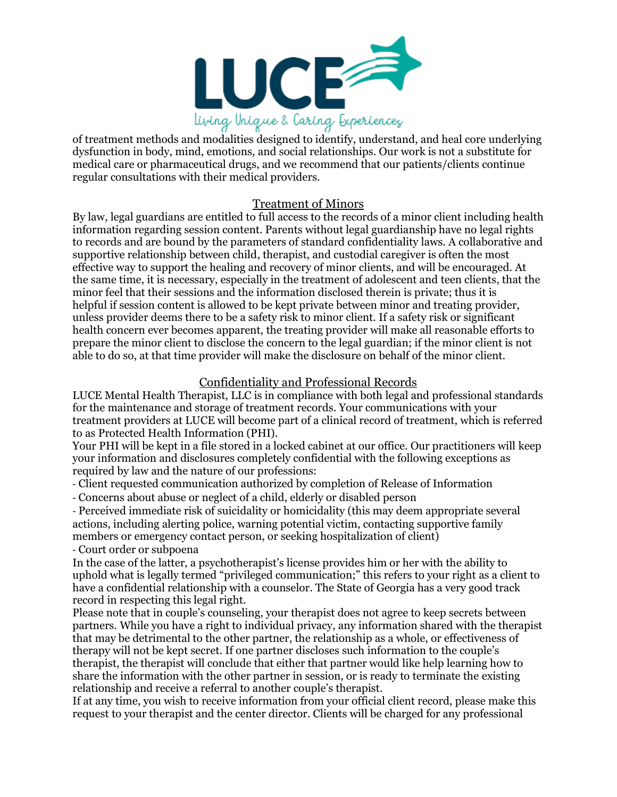

dysfunction in body, mind, emotions, and social relationships. Our work is not a substitute for medical care or pharmaceutical drugs, and we recommend that our patients/clients continue regular consultations with their medical providers.

### Treatment of Minors

By law, legal guardians are entitled to full access to the records of a minor client including health information regarding session content. Parents without legal guardianship have no legal rights to records and are bound by the parameters of standard confidentiality laws. A collaborative and supportive relationship between child, therapist, and custodial caregiver is often the most effective way to support the healing and recovery of minor clients, and will be encouraged. At the same time, it is necessary, especially in the treatment of adolescent and teen clients, that the minor feel that their sessions and the information disclosed therein is private; thus it is helpful if session content is allowed to be kept private between minor and treating provider, unless provider deems there to be a safety risk to minor client. If a safety risk or significant health concern ever becomes apparent, the treating provider will make all reasonable efforts to prepare the minor client to disclose the concern to the legal guardian; if the minor client is not able to do so, at that time provider will make the disclosure on behalf of the minor client.

## Confidentiality and Professional Records

LUCE Mental Health Therapist, LLC is in compliance with both legal and professional standards for the maintenance and storage of treatment records. Your communications with your treatment providers at LUCE will become part of a clinical record of treatment, which is referred to as Protected Health Information (PHI).

Your PHI will be kept in a file stored in a locked cabinet at our office. Our practitioners will keep your information and disclosures completely confidential with the following exceptions as required by law and the nature of our professions:

- Client requested communication authorized by completion of Release of Information

- Concerns about abuse or neglect of a child, elderly or disabled person

- Perceived immediate risk of suicidality or homicidality (this may deem appropriate several actions, including alerting police, warning potential victim, contacting supportive family members or emergency contact person, or seeking hospitalization of client) - Court order or subpoena

In the case of the latter, a psychotherapist's license provides him or her with the ability to uphold what is legally termed "privileged communication;" this refers to your right as a client to have a confidential relationship with a counselor. The State of Georgia has a very good track record in respecting this legal right.

Please note that in couple's counseling, your therapist does not agree to keep secrets between partners. While you have a right to individual privacy, any information shared with the therapist that may be detrimental to the other partner, the relationship as a whole, or effectiveness of therapy will not be kept secret. If one partner discloses such information to the couple's therapist, the therapist will conclude that either that partner would like help learning how to share the information with the other partner in session, or is ready to terminate the existing relationship and receive a referral to another couple's therapist.

If at any time, you wish to receive information from your official client record, please make this request to your therapist and the center director. Clients will be charged for any professional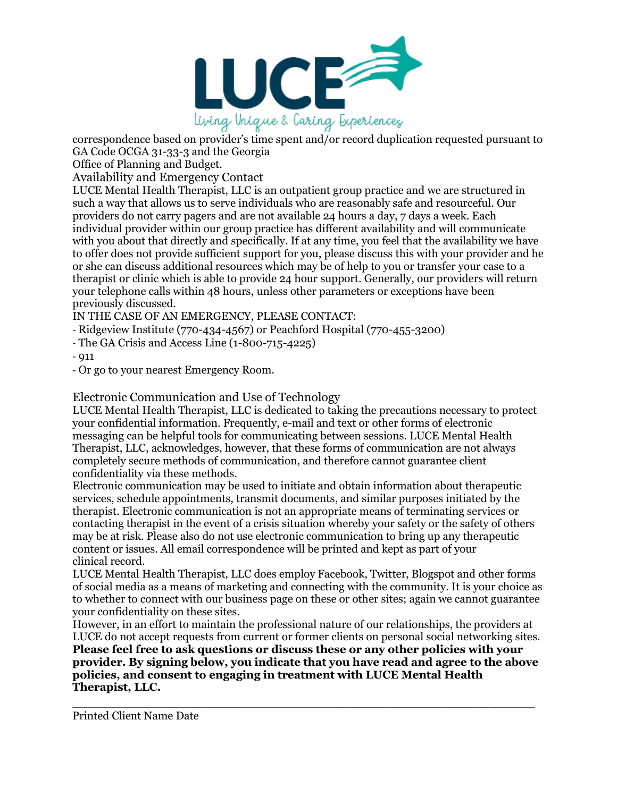

correspondence based on provider's time spent and/or record duplication requested pursuant to GA Code OCGA 31-33-3 and the Georgia

Office of Planning and Budget.

Availability and Emergency Contact

LUCE Mental Health Therapist, LLC is an outpatient group practice and we are structured in such a way that allows us to serve individuals who are reasonably safe and resourceful. Our providers do not carry pagers and are not available 24 hours a day, 7 days a week. Each individual provider within our group practice has different availability and will communicate with you about that directly and specifically. If at any time, you feel that the availability we have to offer does not provide sufficient support for you, please discuss this with your provider and he or she can discuss additional resources which may be of help to you or transfer your case to a therapist or clinic which is able to provide 24 hour support. Generally, our providers will return your telephone calls within 48 hours, unless other parameters or exceptions have been previously discussed.

IN THE CASE OF AN EMERGENCY, PLEASE CONTACT:

- Ridgeview Institute (770-434-4567) or Peachford Hospital (770-455-3200)

- The GA Crisis and Access Line (1-800-715-4225)

 $-$  011

- Or go to your nearest Emergency Room.

Electronic Communication and Use of Technology

LUCE Mental Health Therapist, LLC is dedicated to taking the precautions necessary to protect your confidential information. Frequently, e-mail and text or other forms of electronic messaging can be helpful tools for communicating between sessions. LUCE Mental Health Therapist, LLC, acknowledges, however, that these forms of communication are not always completely secure methods of communication, and therefore cannot guarantee client confidentiality via these methods.

Electronic communication may be used to initiate and obtain information about therapeutic services, schedule appointments, transmit documents, and similar purposes initiated by the therapist. Electronic communication is not an appropriate means of terminating services or contacting therapist in the event of a crisis situation whereby your safety or the safety of others may be at risk. Please also do not use electronic communication to bring up any therapeutic content or issues. All email correspondence will be printed and kept as part of your clinical record.

LUCE Mental Health Therapist, LLC does employ Facebook, Twitter, Blogspot and other forms of social media as a means of marketing and connecting with the community. It is your choice as to whether to connect with our business page on these or other sites; again we cannot guarantee your confidentiality on these sites.

However, in an effort to maintain the professional nature of our relationships, the providers at LUCE do not accept requests from current or former clients on personal social networking sites. **Please feel free to ask questions or discuss these or any other policies with your provider. By signing below, you indicate that you have read and agree to the above policies, and consent to engaging in treatment with LUCE Mental Health Therapist, LLC.**

\_\_\_\_\_\_\_\_\_\_\_\_\_\_\_\_\_\_\_\_\_\_\_\_\_\_\_\_\_\_\_\_\_\_\_\_\_\_\_\_\_\_\_\_\_\_\_\_\_\_\_